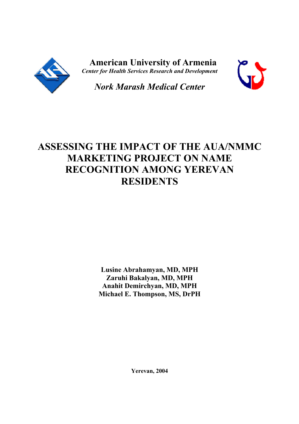

 **American University of Armenia** *Center for Health Services Research and Development*



*Nork Marash Medical Center*

# **ASSESSING THE IMPACT OF THE AUA/NMMC MARKETING PROJECT ON NAME RECOGNITION AMONG YEREVAN RESIDENTS**

**Lusine Abrahamyan, MD, MPH Zaruhi Bakalyan, MD, MPH Anahit Demirchyan, MD, MPH Michael E. Thompson, MS, DrPH**

**Yerevan, 2004**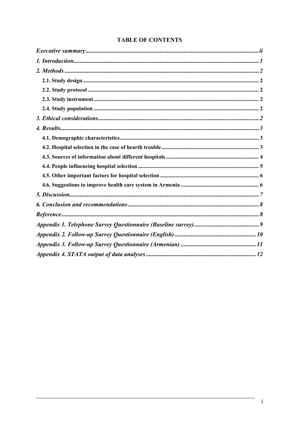| <b>TABLE OF CONTENTS</b> |  |
|--------------------------|--|
|--------------------------|--|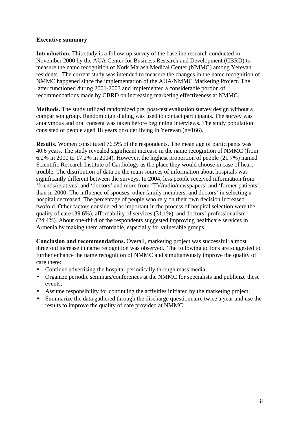#### **Executive summary**

**Introduction.** This study is a follow-up survey of the baseline research conducted in November 2000 by the AUA Center for Business Research and Development (CBRD) to measure the name recognition of Nork Marash Medical Center (NMMC) among Yerevan residents. The current study was intended to measure the changes in the name recognition of NMMC happened since the implementation of the AUA/NMMC Marketing Project. The latter functioned during 2001-2003 and implemented a considerable portion of recommendations made by CBRD on increasing marketing effectiveness at NMMC.

**Methods.** The study utilized randomized pre, post-test evaluation survey design without a comparison group. Random digit dialing was used to contact participants. The survey was anonymous and oral consent was taken before beginning interviews. The study population consisted of people aged 18 years or older living in Yerevan (n=166).

**Results.** Women constituted 76.5% of the respondents. The mean age of participants was 40.6 years. The study revealed significant increase in the name recognition of NMMC (from 6.2% in 2000 to 17.2% in 2004). However, the highest proportion of people (21.7%) named Scientific Research Institute of Cardiology as the place they would choose in case of heart trouble. The distribution of data on the main sources of information about hospitals was significantly different between the surveys. In 2004, less people received information from 'friends/relatives' and 'doctors' and more from 'TV/radio/newspapers' and 'former patients' than in 2000. The influence of spouses, other family members, and doctors' in selecting a hospital decreased. The percentage of people who rely on their own decision increased twofold. Other factors considered as important in the process of hospital selection were the quality of care (39.6%), affordability of services (31.1%), and doctors' professionalism (24.4%). About one-third of the respondents suggested improving healthcare services in Armenia by making them affordable, especially for vulnerable groups.

**Conclusion and recommendations.** Overall, marketing project was successful: almost threefold increase in name recognition was observed. The following actions are suggested to further enhance the name recognition of NMMC and simultaneously improve the quality of care there:

- Continue advertising the hospital periodically through mass media;
- Organize periodic seminars/conferences at the NMMC for specialists and publicize these events;
- Assume responsibility for continuing the activities initiated by the marketing project;
- Summarize the data gathered through the discharge questionnaire twice a year and use the results to improve the quality of care provided at NMMC.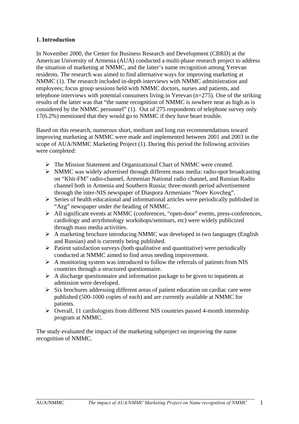#### **1. Introduction**

In November 2000, the Center for Business Research and Development (CBRD) at the American University of Armenia (AUA) conducted a multi-phase research project to address the situation of marketing at NMMC, and the latter's name recognition among Yerevan residents. The research was aimed to find alternative ways for improving marketing at NMMC (1). The research included in-depth interviews with NMMC administration and employees; focus group sessions held with NMMC doctors, nurses and patients, and telephone interviews with potential consumers living in Yerevan (n=275). One of the striking results of the latter was that "the name recognition of NMMC is nowhere near as high as is considered by the NMMC personnel" (1). Out of 275 respondents of telephone survey only 17(6.2%) mentioned that they would go to NMMC if they have heart trouble.

Based on this research, numerous short, medium and long run recommendations toward improving marketing at NMMC were made and implemented between 2001 and 2003 in the scope of AUA/NMMC Marketing Project (1). During this period the following activities were completed:

- ÿ The Mission Statement and Organizational Chart of NMMC were created.
- $\triangleright$  NMMC was widely advertised through different mass media: radio-spot broadcasting on "Khit-FM" radio-channel, Armenian National radio channel, and Russian Radio channel both in Armenia and Southern Russia; three-month period advertisement through the inter-NIS newspaper of Diaspora Armenians "Noev Kovcheg".
- $\triangleright$  Series of health educational and informational articles were periodically published in "Azg" newspaper under the heading of NMMC.
- ÿ All significant events at NMMC (conferences, "open-door" events, press-conferences, cardiology and arrythmology workshops/seminars, etc) were widely publicized through mass media activities.
- $\triangleright$  A marketing brochure introducing NMMC was developed in two languages (English and Russian) and is currently being published.
- $\triangleright$  Patient satisfaction surveys (both qualitative and quantitative) were periodically conducted at NMMC aimed to find areas needing improvement.
- $\triangleright$  A monitoring system was introduced to follow the referrals of patients from NIS countries through a structured questionnaire.
- $\triangleright$  A discharge questionnaire and information package to be given to inpatients at admission were developed.
- $\triangleright$  Six brochures addressing different areas of patient education on cardiac care were published (500-1000 copies of each) and are currently available at NMMC for patients.
- $\triangleright$  Overall, 11 cardiologists from different NIS countries passed 4-month internship program at NMMC.

The study evaluated the impact of the marketing subproject on improving the name recognition of NMMC.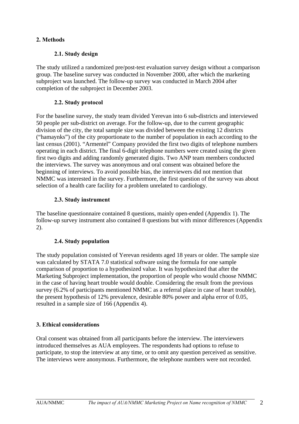# **2. Methods**

#### **2.1. Study design**

The study utilized a randomized pre/post-test evaluation survey design without a comparison group. The baseline survey was conducted in November 2000, after which the marketing subproject was launched. The follow-up survey was conducted in March 2004 after completion of the subproject in December 2003.

# **2.2. Study protocol**

For the baseline survey, the study team divided Yerevan into 6 sub-districts and interviewed 50 people per sub-district on average. For the follow-up, due to the current geographic division of the city, the total sample size was divided between the existing 12 districts ("hamaynks") of the city proportionate to the number of population in each according to the last census (2001). "Armentel" Company provided the first two digits of telephone numbers operating in each district. The final 6-digit telephone numbers were created using the given first two digits and adding randomly generated digits. Two ANP team members conducted the interviews. The survey was anonymous and oral consent was obtained before the beginning of interviews. To avoid possible bias, the interviewers did not mention that NMMC was interested in the survey. Furthermore, the first question of the survey was about selection of a health care facility for a problem unrelated to cardiology.

# **2.3. Study instrument**

The baseline questionnaire contained 8 questions, mainly open-ended (Appendix 1). The follow-up survey instrument also contained 8 questions but with minor differences (Appendix 2).

# **2.4. Study population**

The study population consisted of Yerevan residents aged 18 years or older. The sample size was calculated by STATA 7.0 statistical software using the formula for one sample comparison of proportion to a hypothesized value. It was hypothesized that after the Marketing Subproject implementation, the proportion of people who would choose NMMC in the case of having heart trouble would double. Considering the result from the previous survey (6.2% of participants mentioned NMMC as a referral place in case of heart trouble), the present hypothesis of 12% prevalence, desirable 80% power and alpha error of 0.05, resulted in a sample size of 166 (Appendix 4).

# **3. Ethical considerations**

Oral consent was obtained from all participants before the interview. The interviewers introduced themselves as AUA employees. The respondents had options to refuse to participate, to stop the interview at any time, or to omit any question perceived as sensitive. The interviews were anonymous. Furthermore, the telephone numbers were not recorded.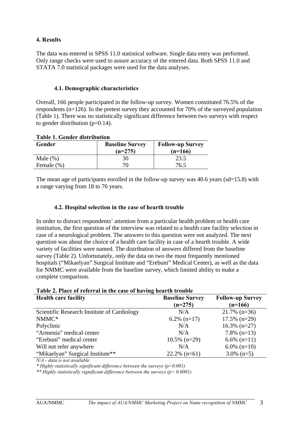#### **4. Results**

The data was entered in SPSS 11.0 statistical software. Single data entry was performed. Only range checks were used to assure accuracy of the entered data. Both SPSS 11.0 and STATA 7.0 statistical packages were used for the data analyses.

#### **4.1. Demographic characteristics**

Overall, 166 people participated in the follow-up survey. Women constituted 76.5% of the respondents (n=126). In the pretest survey they accounted for 70% of the surveyed population (Table 1). There was no statistically significant difference between two surveys with respect to gender distribution  $(p=0.14)$ .

| Tavit 1. Othuti uistrivutivii |                        |                         |  |  |
|-------------------------------|------------------------|-------------------------|--|--|
| Gender                        | <b>Baseline Survey</b> | <b>Follow-up Survey</b> |  |  |
|                               | $(n=275)$              | $(n=166)$               |  |  |
| Male $(\%)$                   | 30                     | 23.5                    |  |  |
| Female (%)                    | 70                     | 76.5                    |  |  |

**Table 1. Gender distribution**

The mean age of participants enrolled in the follow-up survey was  $40.6$  years (sd=15.8) with a range varying from 18 to 76 years.

#### **4.2. Hospital selection in the case of hearth trouble**

In order to distract respondents' attention from a particular health problem or health care institution, the first question of the interview was related to a health care facility selection in case of a neurological problem. The answers to this question were not analyzed. The next question was about the choice of a health care facility in case of a hearth trouble. A wide variety of facilities were named. The distribution of answers differed from the baseline survey (Table 2). Unfortunately, only the data on two the most frequently mentioned hospitals ("Mikaelyan" Surgical Institute and "Erebuni" Medical Center), as well as the data for NMMC were available from the baseline survey, which limited ability to make a complete comparison.

| Table 2. Place of referral in the case of having hearth trouble |                        |                         |  |
|-----------------------------------------------------------------|------------------------|-------------------------|--|
| <b>Health care facility</b>                                     | <b>Baseline Survey</b> | <b>Follow-up Survey</b> |  |
|                                                                 | $(n=275)$              | $(n=166)$               |  |
| Scientific Research Institute of Cardiology                     | N/A                    | $21.7\%$ (n=36)         |  |
| NMMC*                                                           | $6.2\%$ (n=17)         | $17.5\%$ (n=29)         |  |
| Polyclinic                                                      | N/A                    | $16.3\%$ (n=27)         |  |
| "Armenia" medical center                                        | N/A                    | $7.8\%$ (n=13)          |  |
| "Erebuni" medical center                                        | $10.5\%$ (n=29)        | $6.6\%$ (n=11)          |  |
| Will not refer anywhere                                         | N/A                    | $6.0\%$ (n=10)          |  |
| "Mikaelyan" Surgical Institute**                                | $22.2\%$ (n=61)        | $3.0\%$ (n=5)           |  |

**Table 2. Place of referral in the case of having hearth trouble**

*N/A - data is not available*

*\* Highly statistically significant difference between the surveys (p<0.001)*

*\*\* Highly statistically significant difference between the surveys (p< 0.0001)*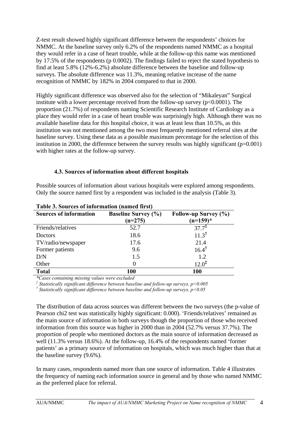Z-test result showed highly significant difference between the respondents' choices for NMMC. At the baseline survey only 6.2% of the respondents named NMMC as a hospital they would refer in a case of heart trouble, while at the follow-up this name was mentioned by 17.5% of the respondents (p 0.0002). The findings failed to reject the stated hypothesis to find at least 5.8% (12%-6.2%) absolute difference between the baseline and follow-up surveys. The absolute difference was 11.3%, meaning relative increase of the name recognition of NMMC by 182% in 2004 compared to that in 2000.

Highly significant difference was observed also for the selection of "Mikaleyan" Surgical institute with a lower percentage received from the follow-up survey  $(p<0.0001)$ . The proportion (21.7%) of respondents naming Scientific Research Institute of Cardiology as a place they would refer in a case of heart trouble was surprisingly high. Although there was no available baseline data for this hospital choice, it was at least less than 10.5%, as this institution was not mentioned among the two most frequently mentioned referral sites at the baseline survey. Using these data as a possible maximum percentage for the selection of this institution in 2000, the difference between the survey results was highly significant  $(p=0.001)$ with higher rates at the follow-up survey.

#### **4.3. Sources of information about different hospitals**

Possible sources of information about various hospitals were explored among respondents. Only the source named first by a respondent was included in the analysis (Table 3).

| Tubic of Sources of Information (manicularist) |                            |                      |  |  |
|------------------------------------------------|----------------------------|----------------------|--|--|
| <b>Sources of information</b>                  | <b>Baseline Survey (%)</b> | Follow-up Survey (%) |  |  |
|                                                | $(n=275)$                  | $(n=159)^*$          |  |  |
| Friends/relatives                              | 52.7                       | $37.7^{\ddagger}$    |  |  |
| Doctors                                        | 18.6                       | $11.3^{\dagger}$     |  |  |
| TV/radio/newspaper                             | 17.6                       | 21.4                 |  |  |
| Former patients                                | 9.6                        | $16.4^{\dagger}$     |  |  |
| D/N                                            | 1.5                        | 1.2                  |  |  |
| Other                                          | 0                          | $12.0^{\ddagger}$    |  |  |
| <b>Total</b>                                   | <b>100</b>                 | <b>100</b>           |  |  |

**Table 3. Sources of information (named first)**

*\*Cases containing missing values were excluded*

*‡ Statistically significant difference between baseline and follow-up surveys, p<0.005*

*† Statistically significant difference between baseline and follow-up surveys, p<0.05*

The distribution of data across sources was different between the two surveys (the p-value of Pearson chi2 test was statistically highly significant: 0.000). 'Friends/relatives' remained as the main source of information in both surveys though the proportion of those who received information from this source was higher in 2000 than in 2004 (52.7% versus 37.7%). The proportion of people who mentioned doctors as the main source of information decreased as well (11.3% versus 18.6%). At the follow-up, 16.4% of the respondents named 'former patients' as a primary source of information on hospitals, which was much higher than that at the baseline survey (9.6%).

In many cases, respondents named more than one source of information. Table 4 illustrates the frequency of naming each information source in general and by those who named NMMC as the preferred place for referral.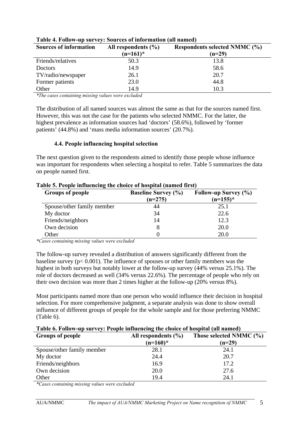| <b>Sources of information</b> | All respondents $(\% )$ | Respondents selected NMMC (%) |
|-------------------------------|-------------------------|-------------------------------|
|                               | $(n=161)^*$             | $(n=29)$                      |
| Friends/relatives             | 50.3                    | 13.8                          |
| Doctors                       | 14.9                    | 58.6                          |
| TV/radio/newspaper            | 26.1                    | 20.7                          |
| Former patients               | 23.0                    | 44.8                          |
| Other                         | 14.9                    | 10.3                          |

#### **Table 4. Follow-up survey: Sources of information (all named)**

*\*The cases containing missing values were excluded*

The distribution of all named sources was almost the same as that for the sources named first. However, this was not the case for the patients who selected NMMC. For the latter, the highest prevalence as information sources had 'doctors' (58.6%), followed by 'former patients' (44.8%) and 'mass media information sources' (20.7%).

#### **4.4. People influencing hospital selection**

The next question given to the respondents aimed to identify those people whose influence was important for respondents when selecting a hospital to refer. Table 5 summarizes the data on people named first.

| <b>Groups of people</b>    | <b>Baseline Survey (%)</b><br>Follow-up Survey (%)<br>$(n=155)^*$<br>$(n=275)$ |      |
|----------------------------|--------------------------------------------------------------------------------|------|
| Spouse/other family member | 44                                                                             | 25.1 |
| My doctor                  | 34                                                                             | 22.6 |
| Friends/neighbors          | 14                                                                             | 12.3 |
| Own decision               |                                                                                | 20.0 |
| Other                      |                                                                                | 20.0 |

#### **Table 5. People influencing the choice of hospital (named first)**

*\*Cases containing missing values were excluded*

The follow-up survey revealed a distribution of answers significantly different from the baseline survey ( $p < 0.001$ ). The influence of spouses or other family members was the highest in both surveys but notably lower at the follow-up survey (44% versus 25.1%). The role of doctors decreased as well (34% versus 22.6%). The percentage of people who rely on their own decision was more than 2 times higher at the follow-up (20% versus 8%).

Most participants named more than one person who would influence their decision in hospital selection. For more comprehensive judgment, a separate analysis was done to show overall influence of different groups of people for the whole sample and for those preferring NMMC (Table 6).

#### **Table 6. Follow-up survey: People influencing the choice of hospital (all named)**

| <b>Groups of people</b>    | All respondents $(\% )$<br>$(n=160)*$ | Those selected NMMC (%)<br>$(n=29)$ |  |
|----------------------------|---------------------------------------|-------------------------------------|--|
| Spouse/other family member | 28.1                                  | 24.1                                |  |
| My doctor                  | 24.4                                  | 20.7                                |  |
| Friends/neighbors          | 16.9                                  | 17.2                                |  |
| Own decision               | 20.0                                  | 27.6                                |  |
| Other                      | 19.4                                  | 24.1                                |  |

*\*Cases containing missing values were excluded*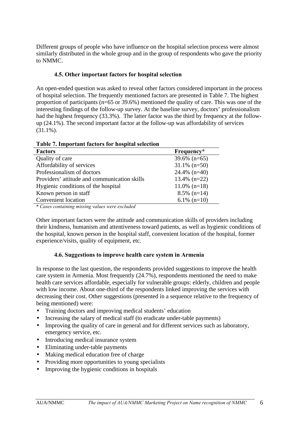Different groups of people who have influence on the hospital selection process were almost similarly distributed in the whole group and in the group of respondents who gave the priority to NMMC.

#### **4.5. Other important factors for hospital selection**

An open-ended question was asked to reveal other factors considered important in the process of hospital selection. The frequently mentioned factors are presented in Table 7. The highest proportion of participants (n=65 or 39.6%) mentioned the quality of care. This was one of the interesting findings of the follow-up survey. At the baseline survey, doctors' professionalism had the highest frequency (33.3%). The latter factor was the third by frequency at the followup (24.1%). The second important factor at the follow-up was affordability of services (31.1%).

| Table 7, Hilpol tant factors for hospital sciection |                 |
|-----------------------------------------------------|-----------------|
| <b>Factors</b>                                      | Frequency*      |
| Quality of care                                     | $39.6\%$ (n=65) |
| Affordability of services                           | $31.1\%$ (n=50) |
| Professionalism of doctors                          | $24.4\%$ (n=40) |
| Providers' attitude and communication skills        | $13.4\%$ (n=22) |
| Hygienic conditions of the hospital                 | $11.0\%$ (n=18) |
| Known person in staff                               | $8.5\%$ (n=14)  |
| <b>Convenient</b> location                          | $6.1\%$ (n=10)  |
|                                                     |                 |

**Table 7. Important factors for hospital selection**

\* *Cases containing missing values were excluded*

Other important factors were the attitude and communication skills of providers including their kindness, humanism and attentiveness toward patients, as well as hygienic conditions of the hospital, known person in the hospital staff, convenient location of the hospital, former experience/visits, quality of equipment, etc.

#### **4.6. Suggestions to improve health care system in Armenia**

In response to the last question, the respondents provided suggestions to improve the health care system in Armenia. Most frequently (24.7%), respondents mentioned the need to make health care services affordable, especially for vulnerable groups: elderly, children and people with low income. About one-third of the respondents linked improving the services with decreasing their cost. Other suggestions (presented in a sequence relative to the frequency of being mentioned) were:

- Training doctors and improving medical students' education
- Increasing the salary of medical staff (to eradicate under-table payments)
- Improving the quality of care in general and for different services such as laboratory, emergency service, etc.
- Introducing medical insurance system
- Eliminating under-table payments
- Making medical education free of charge
- Providing more opportunities to young specialists
- Improving the hygienic conditions in hospitals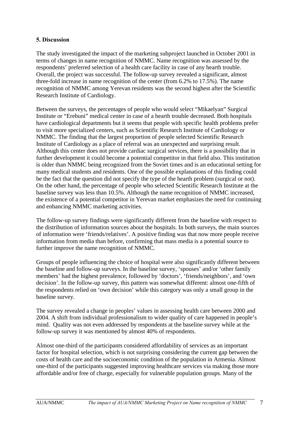#### **5. Discussion**

The study investigated the impact of the marketing subproject launched in October 2001 in terms of changes in name recognition of NMMC. Name recognition was assessed by the respondents' preferred selection of a health care facility in case of any hearth trouble. Overall, the project was successful. The follow-up survey revealed a significant, almost three-fold increase in name recognition of the center (from 6.2% to 17.5%). The name recognition of NMMC among Yerevan residents was the second highest after the Scientific Research Institute of Cardiology.

Between the surveys, the percentages of people who would select "Mikaelyan" Surgical Institute or "Erebuni" medical center in case of a hearth trouble decreased. Both hospitals have cardiological departments but it seems that people with specific health problems prefer to visit more specialized centers, such as Scientific Research Institute of Cardiology or NMMC. The finding that the largest proportion of people selected Scientific Research Institute of Cardiology as a place of referral was an unexpected and surprising result. Although this center does not provide cardiac surgical services, there is a possibility that in further development it could become a potential competitor in that field also. This institution is older than NMMC being recognized from the Soviet times and is an educational setting for many medical students and residents. One of the possible explanations of this finding could be the fact that the question did not specify the type of the hearth problem (surgical or not). On the other hand, the percentage of people who selected Scientific Research Institute at the baseline survey was less than 10.5%. Although the name recognition of NMMC increased, the existence of a potential competitor in Yerevan market emphasizes the need for continuing and enhancing NMMC marketing activities.

The follow-up survey findings were significantly different from the baseline with respect to the distribution of information sources about the hospitals. In both surveys, the main sources of information were 'friends/relatives'. A positive finding was that now more people receive information from media than before, confirming that mass media is a potential source to further improve the name recognition of NMMC.

Groups of people influencing the choice of hospital were also significantly different between the baseline and follow-up surveys. In the baseline survey, 'spouses' and/or 'other family members' had the highest prevalence, followed by 'doctors', 'friends/neighbors', and 'own decision'. In the follow-up survey, this pattern was somewhat different: almost one-fifth of the respondents relied on 'own decision' while this category was only a small group in the baseline survey.

The survey revealed a change in peoples' values in assessing health care between 2000 and 2004. A shift from individual professionalism to wider quality of care happened in people's mind. Quality was not even addressed by respondents at the baseline survey while at the follow-up survey it was mentioned by almost 40% of respondents.

Almost one-third of the participants considered affordability of services as an important factor for hospital selection, which is not surprising considering the current gap between the costs of health care and the socioeconomic condition of the population in Armenia. Almost one-third of the participants suggested improving healthcare services via making those more affordable and/or free of charge, especially for vulnerable population groups. Many of the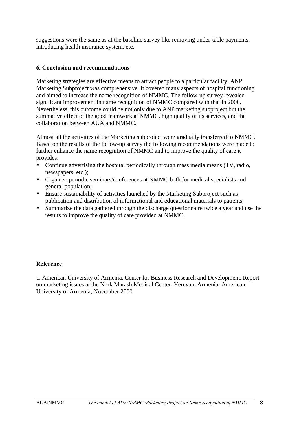suggestions were the same as at the baseline survey like removing under-table payments, introducing health insurance system, etc.

#### **6. Conclusion and recommendations**

Marketing strategies are effective means to attract people to a particular facility. ANP Marketing Subproject was comprehensive. It covered many aspects of hospital functioning and aimed to increase the name recognition of NMMC. The follow-up survey revealed significant improvement in name recognition of NMMC compared with that in 2000. Nevertheless, this outcome could be not only due to ANP marketing subproject but the summative effect of the good teamwork at NMMC, high quality of its services, and the collaboration between AUA and NMMC.

Almost all the activities of the Marketing subproject were gradually transferred to NMMC. Based on the results of the follow-up survey the following recommendations were made to further enhance the name recognition of NMMC and to improve the quality of care it provides:

- Continue advertising the hospital periodically through mass media means (TV, radio, newspapers, etc.);
- Organize periodic seminars/conferences at NMMC both for medical specialists and general population;
- Ensure sustainability of activities launched by the Marketing Subproject such as publication and distribution of informational and educational materials to patients;
- Summarize the data gathered through the discharge questionnaire twice a year and use the results to improve the quality of care provided at NMMC.

#### **Reference**

1. American University of Armenia, Center for Business Research and Development. Report on marketing issues at the Nork Marash Medical Center, Yerevan, Armenia: American University of Armenia, November 2000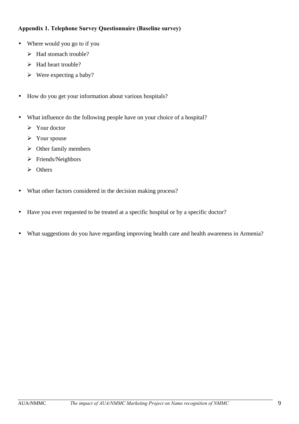# **Appendix 1. Telephone Survey Questionnaire (Baseline survey)**

- Where would you go to if you
	- ÿ Had stomach trouble?
	- $\blacktriangleright$  Had heart trouble?
	- $\triangleright$  Were expecting a baby?
- How do you get your information about various hospitals?
- What influence do the following people have on your choice of a hospital?
	- $\triangleright$  Your doctor
	- $\triangleright$  Your spouse
	- $\triangleright$  Other family members
	- > Friends/Neighbors
	- $\triangleright$  Others
- What other factors considered in the decision making process?
- Have you ever requested to be treated at a specific hospital or by a specific doctor?
- What suggestions do you have regarding improving health care and health awareness in Armenia?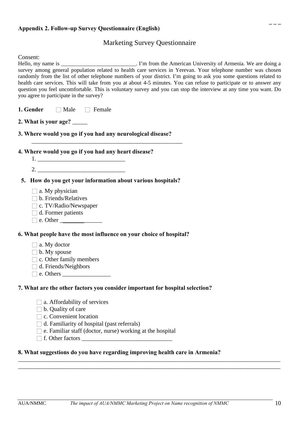# Marketing Survey Questionnaire

| Consent:<br>Hello, my name is ___________________________. I'm from the American University of Armenia. We are doing a<br>survey among general population related to health care services in Yerevan. Your telephone number was chosen<br>randomly from the list of other telephone numbers of your district. I'm going to ask you some questions related to<br>health care services. This will take from you at about 4-5 minutes. You can refuse to participate or to answer any<br>question you feel uncomfortable. This is voluntary survey and you can stop the interview at any time you want. Do<br>you agree to participate in the survey? |  |  |  |
|----------------------------------------------------------------------------------------------------------------------------------------------------------------------------------------------------------------------------------------------------------------------------------------------------------------------------------------------------------------------------------------------------------------------------------------------------------------------------------------------------------------------------------------------------------------------------------------------------------------------------------------------------|--|--|--|
| 1. Gender<br>$\Box$ Male $\Box$ Female                                                                                                                                                                                                                                                                                                                                                                                                                                                                                                                                                                                                             |  |  |  |
| 2. What is your age? _____                                                                                                                                                                                                                                                                                                                                                                                                                                                                                                                                                                                                                         |  |  |  |
| 3. Where would you go if you had any neurological disease?                                                                                                                                                                                                                                                                                                                                                                                                                                                                                                                                                                                         |  |  |  |
| 4. Where would you go if you had any heart disease?<br>2.                                                                                                                                                                                                                                                                                                                                                                                                                                                                                                                                                                                          |  |  |  |
| 5. How do you get your information about various hospitals?<br>$\Box$ a. My physician<br>b. Friends/Relatives<br>$\Box$ c. TV/Radio/Newspaper<br>d. Former patients                                                                                                                                                                                                                                                                                                                                                                                                                                                                                |  |  |  |
| 6. What people have the most influence on your choice of hospital?                                                                                                                                                                                                                                                                                                                                                                                                                                                                                                                                                                                 |  |  |  |
| $\Box$ a. My doctor<br>$\Box$ b. My spouse<br>$\Box$ c. Other family members<br>d. Friends/Neighbors                                                                                                                                                                                                                                                                                                                                                                                                                                                                                                                                               |  |  |  |
| 7. What are the other factors you consider important for hospital selection?                                                                                                                                                                                                                                                                                                                                                                                                                                                                                                                                                                       |  |  |  |
| a. Affordability of services<br>$\Box$ b. Quality of care<br>$\Box$ c. Convenient location<br>$\Box$ d. Familiarity of hospital (past referrals)<br>e. Familiar staff (doctor, nurse) working at the hospital<br>8. What suggestions do you have regarding improving health care in Armenia?                                                                                                                                                                                                                                                                                                                                                       |  |  |  |

\_\_\_\_\_\_\_\_\_\_\_\_\_\_\_\_\_\_\_\_\_\_\_\_\_\_\_\_\_\_\_\_\_\_\_\_\_\_\_\_\_\_\_\_\_\_\_\_\_\_\_\_\_\_\_\_\_\_\_\_\_\_\_\_\_\_\_\_\_\_\_\_\_\_\_\_\_\_\_\_\_\_\_\_\_\_\_ \_\_\_\_\_\_\_\_\_\_\_\_\_\_\_\_\_\_\_\_\_\_\_\_\_\_\_\_\_\_\_\_\_\_\_\_\_\_\_\_\_\_\_\_\_\_\_\_\_\_\_\_\_\_\_\_\_\_\_\_\_\_\_\_\_\_\_\_\_\_\_\_\_\_\_\_\_\_\_\_\_\_\_\_\_\_\_

 **\_ \_ \_**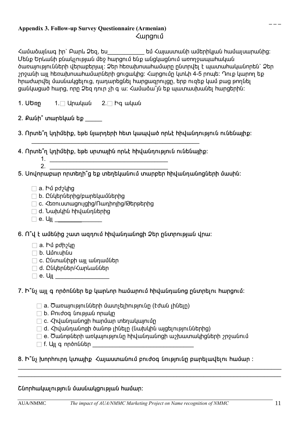# **Appendix 3. Follow-up Survey Questionnaire (Armenian)** *Հ***արցում**

Համաձայնագ իր` Բարև Ձեզ, ես\_\_\_\_\_\_\_\_\_\_\_\_ եմ Հայաստանի ամերիկյան համալսարանից: Մենք Երևանի բնակչության մեջ hարցում ենք անցկացնում առողջապահական ծառայությունների վերաբերյալ: Ձեր hեռախոսահամարը ընտրվել է պատահականորեն` Ձեր  $2$ րջանի այլ hեռախոսահամարների ցուցակից։ Հարցումը կտևի 4-5 րոպե։ Դուք կարող եք hրաժարվել մասնակցելուց, դադարեցնել hարցազրույցը, երբ ուզեք կամ բաց թողնել ցանկացած hարց, որը Ձեզ դուր չի գ ա: Համաձա՞յն եք պատասխանել hարցերին:

- **1. êºéÁ** 1." ²ñ³Ï³Ý 2." Æ· ³Ï³Ý
- 2. Քանի՞ տարեկան եք \_\_\_\_
- 3. Որտե՞ղ կդիմեիք, եթե նյարդերի **հետ կապված որևէ հիվանդություն ունենայ**իք։
- 4. Որտե՞ղ կդիմեիք, եթե սրտային որևէ **իիվանդություն ունենայիք**:

 $\mathcal{L}_\text{max}$  , which is a set of the set of the set of the set of the set of the set of the set of the set of the set of the set of the set of the set of the set of the set of the set of the set of the set of the set of

- $1.$ 2. \_\_\_\_\_\_\_\_\_\_\_\_\_\_\_\_\_\_\_\_\_\_\_\_\_\_\_\_\_\_\_\_\_\_\_
- 5. Սովորաբար որտեղի՞ց եք տեղեկանում տարբեր **իիվանդանոցների մասին**:
	- $\Box$  a. hủ pd $_2$ կից
	- $\Box$  b. Ընկերներից/բարեկամներից
	- $\Box$  c. Հեռուստացույցից/Ռադիոյից/Թերթերից
	- $\Box$  d. Նախկին hիվանդներից
	- $\Box$  e. U<sub>II</sub>

6. Ո՞վ է ամենից շատ ազդում **հիվանդանոցի Ձեր ընտրության վրա**:

- $\Box$  a. hủ pdh $\chi$ lm
- $\Box$  b.  $U$ մուսինս
- $\Box$  c. Ընտանիքի այլ անդամներ
- a. Ընկերներ/Հարևաններ
- $\Box$  e. Ujj

7. Ի՞նչ այլ գ ործոններ եք կարևոր **համարում հիվանդանոց ընտրելու հարցում**:

- $\Box$  a. Ծառայությունների մատչելիությունը (էժան լինելը)
- $\Box$  b.  $\Box$ nư doq  $\Box$  (integral) and in public
- 
- $\Box$  c. Հիվանդանոցի hարմար տեղակայումը
- 
- $\Box$  d. Հիվանդանոցի ծանոթ լինելը (նախկին այցելություններից)
- 
- $\Box$  e. Ծանոթների առկայությունը հիվանդանոցի աշխատակիցների շրջանում
- $\Box$  f. U $\parallel$  a nn $\delta$ n $\mathfrak l$ մեր

# 8. Ի՞նչ խորհուրդ կտայիք *Հ*այաստանում բուժօգ նությունը բարելավելու համար :

# Շնորհակալություն մասնակցության համար։

 $\mathcal{L}_\mathcal{L} = \mathcal{L}_\mathcal{L} = \mathcal{L}_\mathcal{L} = \mathcal{L}_\mathcal{L} = \mathcal{L}_\mathcal{L} = \mathcal{L}_\mathcal{L} = \mathcal{L}_\mathcal{L} = \mathcal{L}_\mathcal{L} = \mathcal{L}_\mathcal{L} = \mathcal{L}_\mathcal{L} = \mathcal{L}_\mathcal{L} = \mathcal{L}_\mathcal{L} = \mathcal{L}_\mathcal{L} = \mathcal{L}_\mathcal{L} = \mathcal{L}_\mathcal{L} = \mathcal{L}_\mathcal{L} = \mathcal{L}_\mathcal{L}$  $\mathcal{L}_\text{max}$  and  $\mathcal{L}_\text{max}$  and  $\mathcal{L}_\text{max}$  and  $\mathcal{L}_\text{max}$  and  $\mathcal{L}_\text{max}$  and  $\mathcal{L}_\text{max}$ 

 **\_ \_ \_**